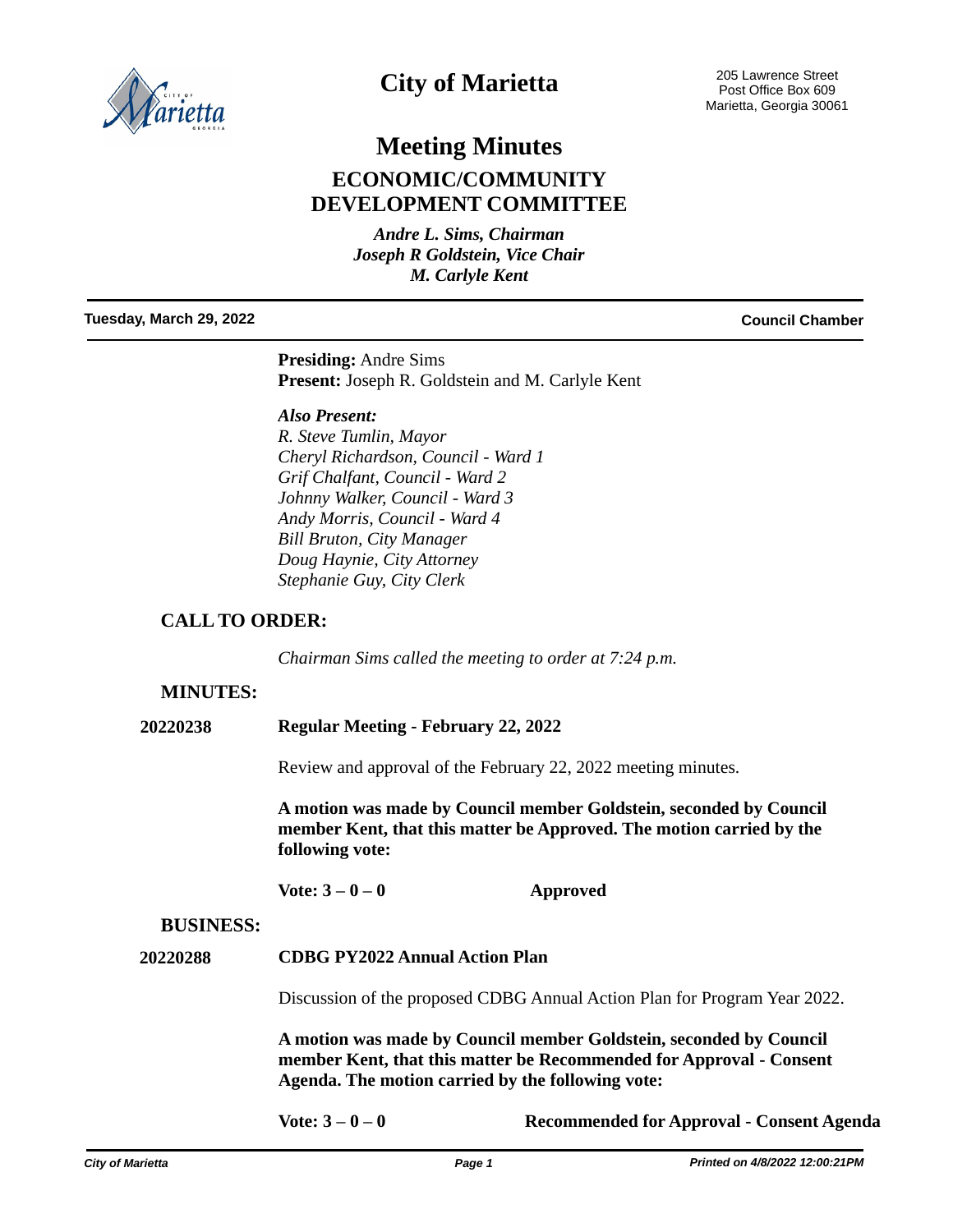

## **City of Marietta**

# **Meeting Minutes ECONOMIC/COMMUNITY DEVELOPMENT COMMITTEE**

*Andre L. Sims, Chairman Joseph R Goldstein, Vice Chair M. Carlyle Kent*

**Tuesday, March 29, 2022 Council Chamber**

**Presiding:** Andre Sims **Present:** Joseph R. Goldstein and M. Carlyle Kent

*Also Present: R. Steve Tumlin, Mayor Cheryl Richardson, Council - Ward 1 Grif Chalfant, Council - Ward 2 Johnny Walker, Council - Ward 3 Andy Morris, Council - Ward 4 Bill Bruton, City Manager Doug Haynie, City Attorney Stephanie Guy, City Clerk*

#### **CALL TO ORDER:**

*Chairman Sims called the meeting to order at 7:24 p.m.*

#### **MINUTES:**

**20220238 Regular Meeting - February 22, 2022**

Review and approval of the February 22, 2022 meeting minutes.

**A motion was made by Council member Goldstein, seconded by Council member Kent, that this matter be Approved. The motion carried by the following vote:**

**Vote: 3 – 0 – 0 Approved**

#### **BUSINESS:**

**20220288 CDBG PY2022 Annual Action Plan** 

Discussion of the proposed CDBG Annual Action Plan for Program Year 2022.

**A motion was made by Council member Goldstein, seconded by Council member Kent, that this matter be Recommended for Approval - Consent Agenda. The motion carried by the following vote:**

**Vote: 3 – 0 – 0 Recommended for Approval - Consent Agenda**